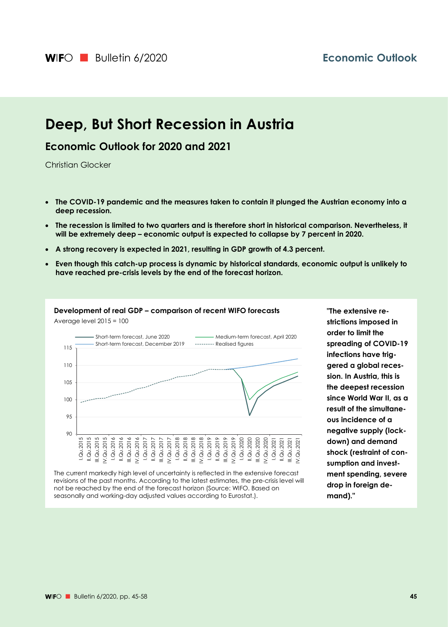# **Deep, But Short Recession in Austria**

## **Economic Outlook for 2020 and 2021**

Christian Glocker

- **The COVID-19 pandemic and the measures taken to contain it plunged the Austrian economy into a deep recession.**
- **The recession is limited to two quarters and is therefore short in historical comparison. Nevertheless, it will be extremely deep – economic output is expected to collapse by 7 percent in 2020.**
- **A strong recovery is expected in 2021, resulting in GDP growth of 4.3 percent.**
- **Even though this catch-up process is dynamic by historical standards, economic output is unlikely to have reached pre-crisis levels by the end of the forecast horizon.**



The current markedly high level of uncertainty is reflected in the extensive forecast revisions of the past months. According to the latest estimates, the pre-crisis level will not be reached by the end of the forecast horizon (Source: WIFO. Based on seasonally and working-day adjusted values according to Eurostat.).

**"The extensive restrictions imposed in order to limit the spreading of COVID-19 infections have triggered a global recession. In Austria, this is the deepest recession since World War II, as a result of the simultaneous incidence of a negative supply (lockdown) and demand shock (restraint of consumption and investment spending, severe drop in foreign demand)."**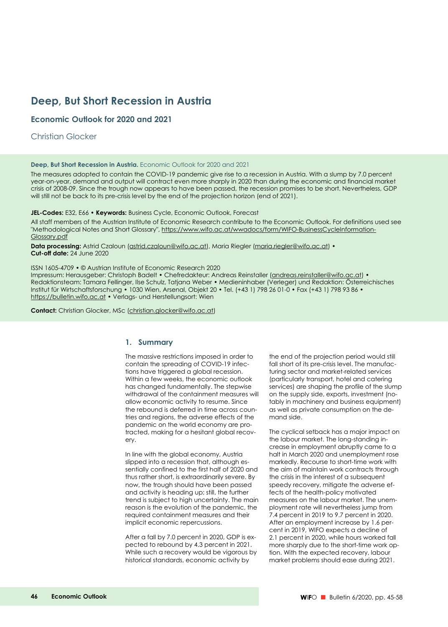## **Deep, But Short Recession in Austria**

### **Economic Outlook for 2020 and 2021**

Christian Glocker

#### **Deep, But Short Recession in Austria.** Economic Outlook for 2020 and 2021

The measures adopted to contain the COVID-19 pandemic give rise to a recession in Austria. With a slump by 7.0 percent year-on-year, demand and output will contract even more sharply in 2020 than during the economic and financial market crisis of 2008-09. Since the trough now appears to have been passed, the recession promises to be short. Nevertheless, GDP will still not be back to its pre-crisis level by the end of the projection horizon (end of 2021).

#### **JEL-Codes:** E32, E66 • **Keywords:** Business Cycle, Economic Outlook, Forecast

All staff members of the Austrian Institute of Economic Research contribute to the Economic Outlook. For definitions used see "Methodological Notes and Short Glossary", https://www.wifo.ac.at/wwadocs/form/WIFO-BusinessCycleInformation-Glossary.pdf

**Data processing:** Astrid Czaloun (astrid.czaloun@wifo.ac.at), Maria Riegler (maria.riegler@wifo.ac.at) • **Cut-off date:** 24 June 2020

ISSN 1605-4709 • © Austrian Institute of Economic Research 2020 Impressum: Herausgeber: Christoph Badelt • Chefredakteur: Andreas Reinstaller (andreas.reinstaller@wifo.ac.at) • Redaktionsteam: Tamara Fellinger, Ilse Schulz, Tatjana Weber • Medieninhaber (Verleger) und Redaktion: Österreichisches Institut für Wirtschaftsforschung • 1030 Wien, Arsenal, Objekt 20 • Tel. (+43 1) 798 26 01-0 • Fax (+43 1) 798 93 86 • https://bulletin.wifo.ac.at • Verlags- und Herstellungsort: Wien

**Contact:** Christian Glocker, MSc (christian.glocker@wifo.ac.at)

### **1. Summary**

The massive restrictions imposed in order to contain the spreading of COVID-19 infections have triggered a global recession. Within a few weeks, the economic outlook has changed fundamentally. The stepwise withdrawal of the containment measures will allow economic activity to resume. Since the rebound is deferred in time across countries and regions, the adverse effects of the pandemic on the world economy are protracted, making for a hesitant global recovery.

In line with the global economy, Austria slipped into a recession that, although essentially confined to the first half of 2020 and thus rather short, is extraordinarily severe. By now, the trough should have been passed and activity is heading up; still, the further trend is subject to high uncertainty. The main reason is the evolution of the pandemic, the required containment measures and their implicit economic repercussions.

After a fall by 7.0 percent in 2020, GDP is expected to rebound by 4.3 percent in 2021. While such a recovery would be vigorous by historical standards, economic activity by

the end of the projection period would still fall short of its pre-crisis level. The manufacturing sector and market-related services (particularly transport, hotel and catering services) are shaping the profile of the slump on the supply side, exports, investment (notably in machinery and business equipment) as well as private consumption on the demand side.

The cyclical setback has a major impact on the labour market. The long-standing increase in employment abruptly came to a halt in March 2020 and unemployment rose markedly. Recourse to short-time work with the aim of maintain work contracts through the crisis in the interest of a subsequent speedy recovery, mitigate the adverse effects of the health-policy motivated measures on the labour market. The unemployment rate will nevertheless jump from 7.4 percent in 2019 to 9.7 percent in 2020. After an employment increase by 1.6 percent in 2019, WIFO expects a decline of 2.1 percent in 2020, while hours worked fall more sharply due to the short-time work option. With the expected recovery, labour market problems should ease during 2021.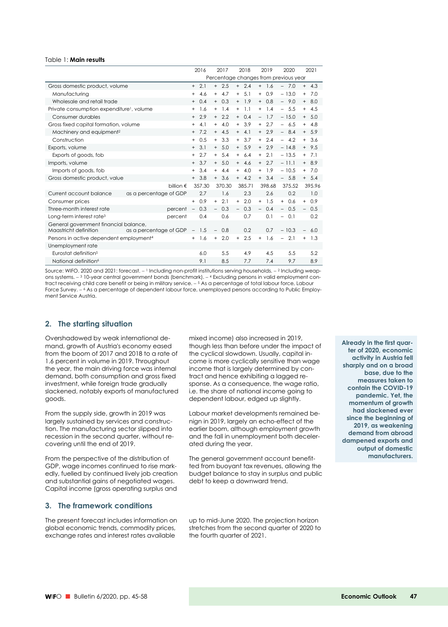#### Table 1: **Main results**

|                                                       |                        |                          | 2016   |                          | 2017                                  |                                  | 2018    |        | 2019   |                          | 2020    |           | 2021    |
|-------------------------------------------------------|------------------------|--------------------------|--------|--------------------------|---------------------------------------|----------------------------------|---------|--------|--------|--------------------------|---------|-----------|---------|
|                                                       |                        |                          |        |                          | Percentage changes from previous year |                                  |         |        |        |                          |         |           |         |
| Gross domestic product, volume                        |                        | $^{+}$                   | 2.1    |                          | $+2.5$                                |                                  | $+2.4$  | $+$    | 1.6    |                          | $-7.0$  |           | $+ 4.3$ |
| Manufacturing                                         |                        | $+$                      | 4.6    | $+$                      | 4.7                                   | $+$                              | 5.1     | $+$    | 0.9    |                          | $-13.0$ | $+$       | 7.0     |
| Wholesale and retail trade                            |                        | $^{+}$                   | 0.4    | $+$                      | 0.3                                   | $+$                              | 1.9     | $+$    | 0.8    | $-$                      | 9.0     | $+$       | 8.0     |
| Private consumption expenditure <sup>1</sup> , volume |                        | $^{+}$                   | 1.6    | $+$                      | 1.4                                   | $+$                              | 1.1     | $+$    | 1.4    | $\equiv$                 | 5.5     | $+$       | 4.5     |
| Consumer durables                                     |                        | $+$                      | 2.9    | $+$                      | 2.2                                   | $+$                              | 0.4     |        | $-1.7$ |                          | $-15.0$ |           | $+ 5.0$ |
| Gross fixed capital formation, volume                 |                        | $^{+}$                   | 4.1    |                          | $+ 4.0$                               |                                  | $+3.9$  | $+$    | 2.7    |                          | $-6.5$  |           | $+ 4.8$ |
| Machinery and equipment <sup>2</sup>                  |                        | $+$                      | 7.2    | $+$                      | 4.5                                   | $+$                              | 4.1     | $+$    | 2.9    | $-$                      | 8.4     |           | $+ 5.9$ |
| Construction                                          |                        | $^{+}$                   | 0.5    | $+$                      | 3.3                                   | $+$                              | 3.7     | $+$    | 2.4    |                          | $-4.2$  | $+$       | 3.6     |
| Exports, volume                                       |                        | $+$                      | 3.1    | $+$                      | 5.0                                   | $+$                              | 5.9     | $+$    | 2.9    |                          | $-14.8$ |           | $+9.5$  |
| Exports of goods, fob                                 |                        | $+$                      | 2.7    | $+$                      | 5.4                                   | $+$                              | 6.4     | $+$    | 2.1    |                          | $-13.5$ | $+$       | 7.1     |
| Imports, volume                                       |                        | $^{+}$                   | 3.7    | $+$                      | 5.0                                   | $+$                              | 4.6     | $^{+}$ | 2.7    |                          | $-11.1$ | $+$       | 8.9     |
| Imports of goods, fob                                 |                        | $^{+}$                   | 3.4    | $+$                      | 4.4                                   | $+$                              | 4.0     | $+$    | 1.9    |                          | $-10.5$ | $+$       | 7.0     |
| Gross domestic product, value                         |                        |                          | $+3.8$ |                          | $+3.6$                                |                                  | $+ 4.2$ |        | $+3.4$ |                          | $-5.8$  |           | $+ 5.4$ |
|                                                       | billion €              |                          | 357.30 |                          | 370.30                                |                                  | 385.71  |        | 398.68 |                          | 375.52  |           | 395.96  |
| Current account balance                               | as a percentage of GDP |                          | 2.7    |                          | 1.6                                   |                                  | 2.3     |        | 2.6    |                          | 0.2     |           | 1.0     |
| Consumer prices                                       |                        | $+$                      | 0.9    | $+$                      | 2.1                                   | $+$                              | 2.0     | $+$    | 1.5    | $+$                      | 0.6     | $+$       | 0.9     |
| Three-month interest rate                             | percent                | $\overline{\phantom{a}}$ | 0.3    | $\overline{\phantom{0}}$ | 0.3                                   |                                  | 0.3     |        | 0.4    | $\overline{\phantom{0}}$ | 0.5     |           | 0.5     |
| Long-term interest rate <sup>3</sup>                  | percent                |                          | 0.4    |                          | 0.6                                   |                                  | 0.7     |        | 0.1    | $\overline{\phantom{0}}$ | 0.1     |           | 0.2     |
| General government financial balance,                 |                        |                          |        |                          |                                       |                                  |         |        |        |                          |         |           |         |
| Maastricht definition                                 | as a percentage of GDP | $\overline{\phantom{m}}$ | 1.5    |                          | 0.8                                   |                                  | 0.2     |        | 0.7    |                          | $-10.3$ |           | 6.0     |
| Persons in active dependent employment <sup>4</sup>   |                        | $^{+}$                   | 1.6    | $+$                      | 2.0                                   | $\begin{array}{c} + \end{array}$ | 2.5     | $+$    | 1.6    |                          | 2.1     | $\ddot{}$ | 1.3     |
| Unemployment rate                                     |                        |                          |        |                          |                                       |                                  |         |        |        |                          |         |           |         |
| Eurostat definition <sup>5</sup>                      |                        |                          | 6.0    |                          | 5.5                                   |                                  | 4.9     |        | 4.5    |                          | 5.5     |           | 5.2     |
| National definition <sup>6</sup>                      |                        |                          | 9.1    |                          | 8.5                                   |                                  | 7.7     |        | 7.4    |                          | 9.7     |           | 8.9     |

Source: WIFO. 2020 and 2021: forecast.  $-1$  Including non-profit institutions serving households.  $-2$  Including weapons systems. - 3 10-year central government bonds (benchmark). - 4 Excluding persons in valid employment contract receiving child care benefit or being in military service.  $-$  <sup>5</sup> As a percentage of total labour force, Labour Force Survey. – 6 As a percentage of dependent labour force, unemployed persons according to Public Employment Service Austria.

### **2. The starting situation**

Overshadowed by weak international demand, growth of Austria's economy eased from the boom of 2017 and 2018 to a rate of 1.6 percent in volume in 2019. Throughout the year, the main driving force was internal demand, both consumption and gross fixed investment, while foreign trade gradually slackened, notably exports of manufactured goods.

From the supply side, growth in 2019 was largely sustained by services and construction. The manufacturing sector slipped into recession in the second quarter, without recovering until the end of 2019.

From the perspective of the distribution of GDP, wage incomes continued to rise markedly, fuelled by continued lively job creation and substantial gains of negotiated wages. Capital income (gross operating surplus and

### **3. The framework conditions**

The present forecast includes information on global economic trends, commodity prices, exchange rates and interest rates available

mixed income) also increased in 2019, though less than before under the impact of the cyclical slowdown. Usually, capital income is more cyclically sensitive than wage income that is largely determined by contract and hence exhibiting a lagged response. As a consequence, the wage ratio, i.e. the share of national income going to dependent labour, edged up slightly.

Labour market developments remained benign in 2019, largely an echo-effect of the earlier boom, although employment growth and the fall in unemployment both decelerated during the year.

The general government account benefitted from buoyant tax revenues, allowing the budget balance to stay in surplus and public debt to keep a downward trend.

up to mid-June 2020. The projection horizon stretches from the second quarter of 2020 to the fourth quarter of 2021.

**Already in the first quarter of 2020, economic activity in Austria fell sharply and on a broad base, due to the measures taken to contain the COVID-19 pandemic. Yet, the momentum of growth had slackened ever since the beginning of 2019, as weakening demand from abroad dampened exports and output of domestic manufacturers.**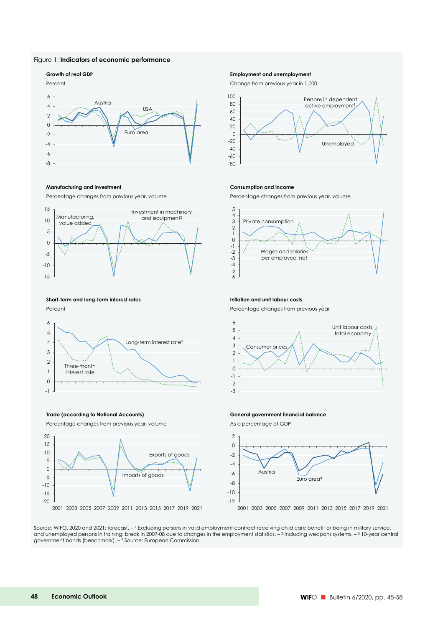#### Figure 1: **Indicators of economic performance**

#### Percent Change from previous year in 1,000 -2 0 2 4 6 Austria Euro area USA

#### **Manufacturing and investment Consumption and income**

Percentage changes from previous year, volume Percentage changes from previous year, volume



### **Short-term and long-term interest rates Inflation and unit labour costs**

-8 -6 -4



Percentage changes from previous year, volume As a percentage of GDP



#### **Growth of real GDP Employment and unemployment**





Percent **Percent Percent Percentage changes from previous year** 



#### **Trade (according to National Accounts) General government financial balance**



Source: WIFO. 2020 and 2021: forecast. – 1 Excluding persons in valid employment contract receiving child care benefit or being in military service, and unemployed persons in training; break in 2007-08 due to changes in the employment statistics.  $-2$  Including weapons systems.  $-3$  10-year central government bonds (benchmark). – 4 Source: European Commission.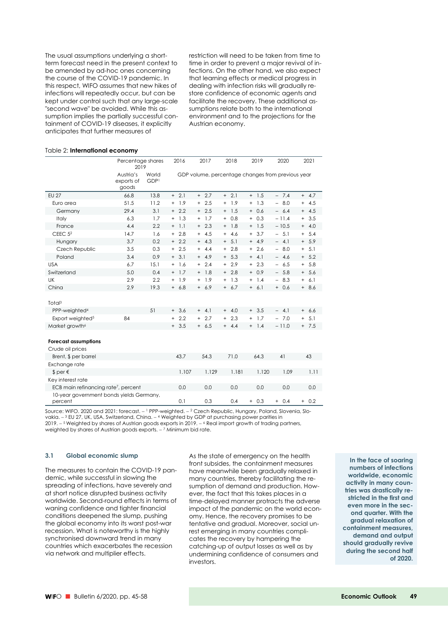The usual assumptions underlying a shortterm forecast need in the present context to be amended by ad-hoc ones concerning the course of the COVID-19 pandemic. In this respect, WIFO assumes that new hikes of infections will repeatedly occur, but can be kept under control such that any large-scale "second wave" be avoided. While this assumption implies the partially successful containment of COVID-19 diseases, it explicitly anticipates that further measures of

restriction will need to be taken from time to time in order to prevent a major revival of infections. On the other hand, we also expect that learning effects or medical progress in dealing with infection risks will gradually restore confidence of economic agents and facilitate the recovery. These additional assumptions relate both to the international environment and to the projections for the Austrian economy.

#### Table 2: **International economy**

|                                                     | Percentage shares<br>2019        |               | 2016             | 2017                                              | 2018             | 2019       | 2020                            | 2021       |
|-----------------------------------------------------|----------------------------------|---------------|------------------|---------------------------------------------------|------------------|------------|---------------------------------|------------|
|                                                     | Austria's<br>exports of<br>goods | World<br>GDP1 |                  | GDP volume, percentage changes from previous year |                  |            |                                 |            |
| <b>EU 27</b>                                        | 66.8                             | 13.8          | $+2.1$           | $+2.7$                                            | $+2.1$           | $+ 1.5$    | $-7.4$                          | $+ 4.7$    |
| Euro area                                           | 51.5                             | 11.2          | 1.9<br>$^{+}$    | 2.5<br>$^{+}$                                     | 1.9<br>$+$       | $+ 1.3$    | 8.0<br>$\overline{\phantom{0}}$ | 4.5<br>$+$ |
| Germany                                             | 29.4                             | 3.1           | 2.2<br>$+$       | 2.5<br>$^{+}$                                     | 1.5<br>$+$       | 0.6<br>$+$ | 6.4<br>$-$                      | $+ 4.5$    |
| Italy                                               | 6.3                              | 1.7           | 1.3<br>$\ddot{}$ | 1.7<br>$\ddot{}$                                  | 0.8<br>$\ddot{}$ | 0.3<br>$+$ | $-11.4$                         | 3.5<br>$+$ |
| France                                              | 4.4                              | 2.2           | 1.1<br>$^{+}$    | $+2.3$                                            | 1.8<br>$+$       | $+ 1.5$    | $-10.5$                         | $+ 4.0$    |
| CEEC $52$                                           | 14.7                             | 1.6           | 2.8<br>$+$       | 4.5<br>$+$                                        | 4.6<br>$+$       | 3.7<br>$+$ | 5.1<br>$-$                      | $+ 5.4$    |
| Hungary                                             | 3.7                              | 0.2           | 2.2<br>$+$       | $+ 4.3$                                           | 5.1<br>$+$       | $+ 4.9$    | $\equiv$<br>4.1                 | $+ 5.9$    |
| Czech Republic                                      | 3.5                              | 0.3           | 2.5<br>$\ddot{}$ | 4.4<br>$+$                                        | 2.8<br>$+$       | 2.6<br>$+$ | 8.0<br>$\equiv$                 | 5.1<br>$+$ |
| Poland                                              | 3.4                              | 0.9           | 3.1<br>$+$       | $+ 4.9$                                           | 5.3<br>$+$       | $+ 4.1$    | 4.6<br>$-$                      | $+ 5.2$    |
| <b>USA</b>                                          | 6.7                              | 15.1          | 1.6<br>$^{+}$    | 2.4<br>$^{+}$                                     | 2.9<br>$^{+}$    | 2.3<br>$+$ | 6.5<br>$\equiv$                 | 5.8<br>$+$ |
| Switzerland                                         | 5.0                              | 0.4           | 1.7<br>$^{+}$    | $+ 1.8$                                           | 2.8<br>$+$       | 0.9<br>$+$ | 5.8<br>-                        | $+ 5.6$    |
| UK                                                  | 2.9                              | 2.2           | 1.9<br>$\ddot{}$ | 1.9<br>$+$                                        | 1.3<br>$+$       | $+ 1.4$    | 8.3                             | 6.1<br>$+$ |
| China                                               | 2.9                              | 19.3          | 6.8<br>$+$       | $+ 6.9$                                           | 6.7<br>$+$       | $+ 6.1$    | 0.6<br>$+$                      | $+8.6$     |
|                                                     |                                  |               |                  |                                                   |                  |            |                                 |            |
| Total <sup>3</sup>                                  |                                  |               |                  |                                                   |                  |            |                                 |            |
| PPP-weighted <sup>4</sup>                           |                                  | 51            | $+3.6$           | $+ 4.1$                                           | 4.0<br>$+$       | $+3.5$     | 4.1<br>$-$                      | $+ 6.6$    |
| Export weighted <sup>5</sup>                        | 84                               |               | 2.2<br>$^{+}$    | 2.7<br>$\ddot{}$                                  | 2.3<br>$+$       | 1.7<br>$+$ | 7.0<br>$\equiv$                 | 5.1<br>$+$ |
| Market growth <sup>6</sup>                          |                                  |               | 3.5<br>$^{+}$    | $+ 6.5$                                           | $+ 4.4$          | $+$ 1.4    | $-11.0$                         | $+ 7.5$    |
|                                                     |                                  |               |                  |                                                   |                  |            |                                 |            |
| <b>Forecast assumptions</b>                         |                                  |               |                  |                                                   |                  |            |                                 |            |
| Crude oil prices                                    |                                  |               |                  |                                                   |                  |            |                                 |            |
| Brent, \$ per barrel                                |                                  |               | 43.7             | 54.3                                              | 71.0             | 64.3       | 41                              | 43         |
| Exchange rate                                       |                                  |               |                  |                                                   |                  |            |                                 |            |
| $$per \epsilon$                                     |                                  |               | 1.107            | 1.129                                             | 1.181            | 1.120      | 1.09                            | 1.11       |
| Key interest rate                                   |                                  |               |                  |                                                   |                  |            |                                 |            |
| ECB main refinancing rate <sup>7</sup> , percent    |                                  |               | 0.0              | 0.0                                               | 0.0              | 0.0        | 0.0                             | 0.0        |
| 10-year government bonds yields Germany,<br>percent |                                  |               | 0.1              | 0.3                                               | 0.4              | $+ 0.3$    | $+ 0.4$                         | $+ 0.2$    |

Source: WIFO. 2020 and 2021: forecast. - <sup>1</sup> PPP-weighted. - <sup>2</sup> Czech Republic, Hungary, Poland, Slovenia, Slovakia. - <sup>3</sup> EU 27, UK, USA, Switzerland, China. - <sup>4</sup> Weighted by GDP at purchasing power parities in  $2019. - 5$  Weighted by shares of Austrian goods exports in 2019.  $- 6$  Real import growth of trading partners, weighted by shares of Austrian goods exports.  $-$  <sup>7</sup> Minimum bid rate.

#### **3.1 Global economic slump**

The measures to contain the COVID-19 pandemic, while successful in slowing the spreading of infections, have severely and at short notice disrupted business activity worldwide. Second-round effects in terms of waning confidence and tighter financial conditions deepened the slump, pushing the global economy into its worst post-war recession. What is noteworthy is the highly synchronised downward trend in many countries which exacerbates the recession via network and multiplier effects.

As the state of emergency on the health front subsides, the containment measures have meanwhile been gradually relaxed in many countries, thereby facilitating the resumption of demand and production. However, the fact that this takes places in a time-delayed manner protracts the adverse impact of the pandemic on the world economy. Hence, the recovery promises to be tentative and gradual. Moreover, social unrest emerging in many countries complicates the recovery by hampering the catching-up of output losses as well as by undermining confidence of consumers and investors.

**In the face of soaring numbers of infections worldwide, economic activity in many countries was drastically restricted in the first and even more in the second quarter. With the gradual relaxation of containment measures, demand and output should gradually revive during the second half of 2020.**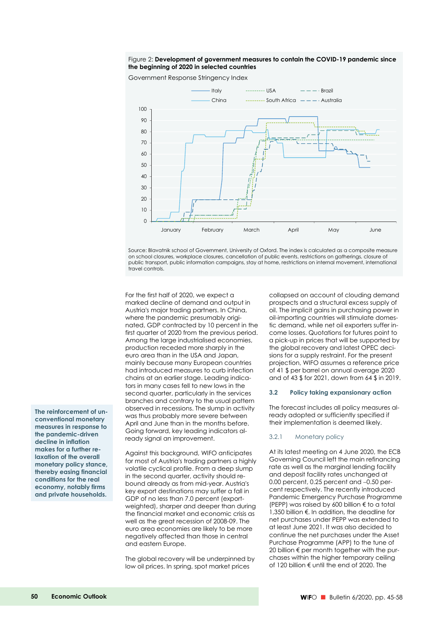#### Figure 2: **Development of government measures to contain the COVID-19 pandemic since the beginning of 2020 in selected countries**

Government Response Stringency Index



Source: Blavatnik school of Government, University of Oxford. The index is calculated as a composite measure on school closures, workplace closures, cancellation of public events, restrictions on gatherings, closure of public transport, public information campaigns, stay at home, restrictions on internal movement, international .<br>travel controls.

For the first half of 2020, we expect a marked decline of demand and output in Austria's major trading partners. In China, where the pandemic presumably originated, GDP contracted by 10 percent in the first quarter of 2020 from the previous period. Among the large industrialised economies, production receded more sharply in the euro area than in the USA and Japan, mainly because many European countries had introduced measures to curb infection chains at an earlier stage. Leading indicators in many cases fell to new lows in the second quarter, particularly in the services branches and contrary to the usual pattern observed in recessions. The slump in activity was thus probably more severe between April and June than in the months before. Going forward, key leading indicators already signal an improvement.

Against this background, WIFO anticipates for most of Austria's trading partners a highly volatile cyclical profile. From a deep slump in the second quarter, activity should rebound already as from mid-year. Austria's key export destinations may suffer a fall in GDP of no less than 7.0 percent (exportweighted), sharper and deeper than during the financial market and economic crisis as well as the great recession of 2008-09. The euro area economies are likely to be more negatively affected than those in central and eastern Europe.

The global recovery will be underpinned by low oil prices. In spring, spot market prices

collapsed on account of clouding demand prospects and a structural excess supply of oil. The implicit gains in purchasing power in oil-importing countries will stimulate domestic demand, while net oil exporters suffer income losses. Quotations for futures point to a pick-up in prices that will be supported by the global recovery and latest OPEC decisions for a supply restraint. For the present projection, WIFO assumes a reference price of 41 \$ per barrel on annual average 2020 and of 43 \$ for 2021, down from 64 \$ in 2019.

#### **3.2 Policy taking expansionary action**

The forecast includes all policy measures already adopted or sufficiently specified if their implementation is deemed likely.

#### 3.2.1 Monetary policy

At its latest meeting on 4 June 2020, the ECB Governing Council left the main refinancing rate as well as the marginal lending facility and deposit facility rates unchanged at  $0.00$  percent,  $0.25$  percent and  $-0.50$  percent respectively. The recently introduced Pandemic Emergency Purchase Programme (PEPP) was raised by 600 billion € to a total 1,350 billion €. In addition, the deadline for net purchases under PEPP was extended to at least June 2021. It was also decided to continue the net purchases under the Asset Purchase Programme (APP) to the tune of 20 billion € per month together with the purchases within the higher temporary ceiling of 120 billion € until the end of 2020. The

**The reinforcement of unconventional monetary measures in response to the pandemic-driven decline in inflation makes for a further relaxation of the overall monetary policy stance, thereby easing financial conditions for the real economy, notably firms and private households.**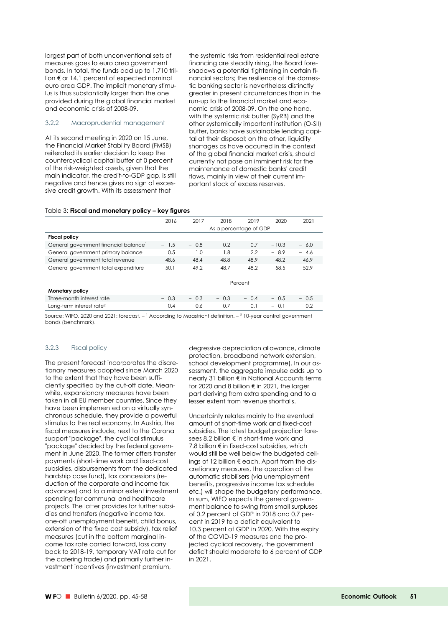largest part of both unconventional sets of measures goes to euro area government bonds. In total, the funds add up to 1.710 trillion € or 14.1 percent of expected nominal euro area GDP. The implicit monetary stimulus is thus substantially larger than the one provided during the global financial market and economic crisis of 2008-09.

#### 3.2.2 Macroprudential management

At its second meeting in 2020 on 15 June, the Financial Market Stability Board (FMSB) reiterated its earlier decision to keep the countercyclical capital buffer at 0 percent of the risk-weighted assets, given that the main indicator, the credit-to-GDP gap, is still negative and hence gives no sign of excessive credit growth. With its assessment that

the systemic risks from residential real estate financing are steadily rising, the Board foreshadows a potential tightening in certain financial sectors; the resilience of the domestic banking sector is nevertheless distinctly greater in present circumstances than in the run-up to the financial market and economic crisis of 2008-09. On the one hand, with the systemic risk buffer (SyRB) and the other systemically important institution (O-SII) buffer, banks have sustainable lending capital at their disposal; on the other, liquidity shortages as have occurred in the context of the global financial market crisis, should currently not pose an imminent risk for the maintenance of domestic banks' credit flows, mainly in view of their current important stock of excess reserves.

#### Table 3: **Fiscal and monetary policy – key figures**

|                                                   | 2016                   | 2017   | 2018   | 2019    | 2020    | 2021   |  |  |
|---------------------------------------------------|------------------------|--------|--------|---------|---------|--------|--|--|
|                                                   | As a percentage of GDP |        |        |         |         |        |  |  |
| <b>Fiscal policy</b>                              |                        |        |        |         |         |        |  |  |
| General government financial balance <sup>1</sup> | $-1.5$                 | $-0.8$ | 0.2    | 0.7     | $-10.3$ | $-6.0$ |  |  |
| General government primary balance                | 0.5                    | 1.0    | 1.8    | 2.2     | $-8.9$  | $-4.6$ |  |  |
| General government total revenue                  | 48.6                   | 48.4   | 48.8   | 48.9    | 48.2    | 46.9   |  |  |
| General government total expenditure              | 50.1                   | 49.2   | 48.7   | 48.2    | 58.5    | 52.9   |  |  |
|                                                   |                        |        |        |         |         |        |  |  |
|                                                   |                        |        |        | Percent |         |        |  |  |
| <b>Monetary policy</b>                            |                        |        |        |         |         |        |  |  |
| Three-month interest rate                         | $-0.3$                 | $-0.3$ | $-0.3$ | $-0.4$  | $-0.5$  | $-0.5$ |  |  |
| Long-term interest rate <sup>2</sup>              | 0.4                    | 0.6    | 0.7    | 0.1     | $-0.1$  | 0.2    |  |  |

Source: WIFO. 2020 and 2021: forecast.  $-1$  According to Maastricht definition.  $-2$  10-year central government bonds (benchmark).

#### 3.2.3 Fiscal policy

The present forecast incorporates the discretionary measures adopted since March 2020 to the extent that they have been sufficiently specified by the cut-off date. Meanwhile, expansionary measures have been taken in all EU member countries. Since they have been implemented on a virtually synchronous schedule, they provide a powerful stimulus to the real economy. In Austria, the fiscal measures include, next to the Corona support "package", the cyclical stimulus "package" decided by the federal government in June 2020. The former offers transfer payments (short-time work and fixed-cost subsidies, disbursements from the dedicated hardship case fund), tax concessions (reduction of the corporate and income tax advances) and to a minor extent investment spending for communal and healthcare projects. The latter provides for further subsidies and transfers (negative income tax, one-off unemployment benefit, child bonus, extension of the fixed cost subsidy), tax relief measures (cut in the bottom marginal income tax rate carried forward, loss carry back to 2018-19, temporary VAT rate cut for the catering trade) and primarily further investment incentives (investment premium,

degressive depreciation allowance, climate protection, broadband network extension, school development programme). In our assessment, the aggregate impulse adds up to nearly 31 billion € in National Accounts terms for 2020 and 8 billion € in 2021, the larger part deriving from extra spending and to a lesser extent from revenue shortfalls.

Uncertainty relates mainly to the eventual amount of short-time work and fixed-cost subsidies. The latest budget projection foresees 8.2 billion € in short-time work and 7.8 billion € in fixed-cost subsidies, which would still be well below the budgeted ceilings of 12 billion € each. Apart from the discretionary measures, the operation of the automatic stabilisers (via unemployment benefits, progressive income tax schedule etc.) will shape the budgetary performance. In sum, WIFO expects the general government balance to swing from small surpluses of 0.2 percent of GDP in 2018 and 0.7 percent in 2019 to a deficit equivalent to 10.3 percent of GDP in 2020. With the expiry of the COVID-19 measures and the projected cyclical recovery, the government deficit should moderate to 6 percent of GDP in 2021.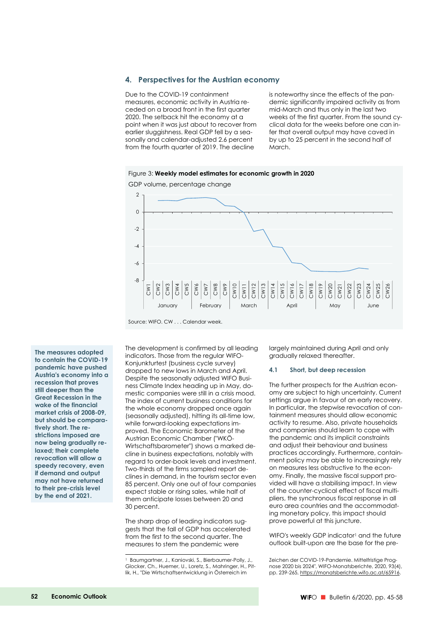#### **4. Perspectives for the Austrian economy**

Due to the COVID-19 containment measures, economic activity in Austria receded on a broad front in the first quarter 2020. The setback hit the economy at a point when it was just about to recover from earlier sluggishness. Real GDP fell by a seasonally and calendar-adjusted 2.6 percent from the fourth quarter of 2019. The decline

is noteworthy since the effects of the pandemic significantly impaired activity as from mid-March and thus only in the last two weeks of the first quarter. From the sound cyclical data for the weeks before one can infer that overall output may have caved in by up to 25 percent in the second half of March.





Source: WIFO. CW . . . Calendar week.

**The measures adopted to contain the COVID-19 pandemic have pushed Austria's economy into a recession that proves still deeper than the Great Recession in the wake of the financial market crisis of 2008-09, but should be comparatively short. The restrictions imposed are now being gradually relaxed; their complete revocation will allow a speedy recovery, even if demand and output may not have returned to their pre-crisis level by the end of 2021.** 

The development is confirmed by all leading indicators. Those from the regular WIFO-Konjunkturtest (business cycle survey) dropped to new lows in March and April. Despite the seasonally adjusted WIFO Business Climate Index heading up in May, domestic companies were still in a crisis mood. The index of current business conditions for the whole economy dropped once again (seasonally adjusted), hitting its all-time low, while forward-looking expectations improved. The Economic Barometer of the Austrian Economic Chamber ("WKÖ-Wirtschaftsbarometer") shows a marked decline in business expectations, notably with regard to order-book levels and investment. Two-thirds of the firms sampled report declines in demand, in the tourism sector even 85 percent. Only one out of four companies expect stable or rising sales, while half of them anticipate losses between 20 and 30 percent.

The sharp drop of leading indicators suggests that the fall of GDP has accelerated from the first to the second quarter. The measures to stem the pandemic were

-

largely maintained during April and only gradually relaxed thereafter.

#### **4.1 Short, but deep recession**

The further prospects for the Austrian economy are subject to high uncertainty. Current settings argue in favour of an early recovery. In particular, the stepwise revocation of containment measures should allow economic activity to resume. Also, private households and companies should learn to cope with the pandemic and its implicit constraints and adjust their behaviour and business practices accordingly. Furthermore, containment policy may be able to increasingly rely on measures less obstructive to the economy. Finally, the massive fiscal support provided will have a stabilising impact. In view of the counter-cyclical effect of fiscal multipliers, the synchronous fiscal response in all euro area countries and the accommodating monetary policy, this impact should prove powerful at this juncture.

WIFO's weekly GDP indicator<sup>1</sup> and the future outlook built-upon are the base for the pre-

<sup>&</sup>lt;sup>1</sup> Baumgartner, J., Kaniovski, S., Bierbaumer-Polly, J., Glocker, Ch., Huemer, U., Loretz, S., Mahringer, H., Pitlik, H., "Die Wirtschaftsentwicklung in Österreich im

Zeichen der COVID-19-Pandemie. Mittelfristige Prognose 2020 bis 2024", WIFO-Monatsberichte, 2020, 93(4), pp. 239-265, https://monatsberichte.wifo.ac.at/65916.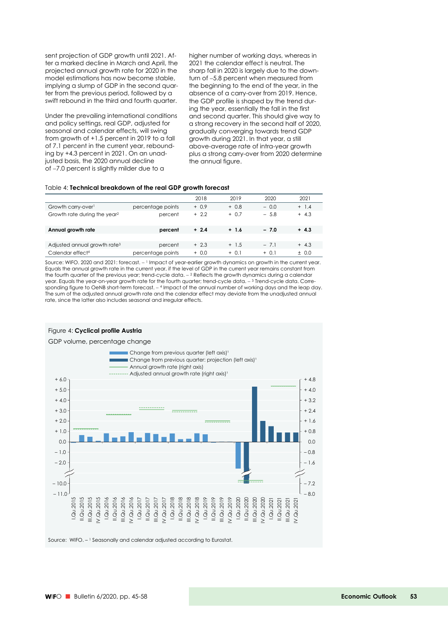sent projection of GDP growth until 2021. After a marked decline in March and April, the projected annual growth rate for 2020 in the model estimations has now become stable, implying a slump of GDP in the second quarter from the previous period, followed by a swift rebound in the third and fourth quarter.

Under the prevailing international conditions and policy settings, real GDP, adjusted for seasonal and calendar effects, will swing from growth of +1.5 percent in 2019 to a fall of 7.1 percent in the current year, rebounding by +4.3 percent in 2021. On an unadjusted basis, the 2020 annual decline of -7.0 percent is slightly milder due to a

higher number of working days, whereas in 2021 the calendar effect is neutral. The sharp fall in 2020 is largely due to the downturn of -5.8 percent when measured from the beginning to the end of the year, in the absence of a carry-over from 2019. Hence, the GDP profile is shaped by the trend during the year, essentially the fall in the first and second quarter. This should give way to a strong recovery in the second half of 2020, gradually converging towards trend GDP growth during 2021. In that year, a still above-average rate of intra-year growth plus a strong carry-over from 2020 determine the annual figure.

#### Table 4: **Technical breakdown of the real GDP growth forecast**

|                                          |                   | 2018    | 2019    | 2020    | 2021    |
|------------------------------------------|-------------------|---------|---------|---------|---------|
| Growth carry-over <sup>1</sup>           | percentage points | $+ 0.9$ | $+0.8$  | $-0.0$  | $+ 1.4$ |
| Growth rate during the year?             | percent           | $+2.2$  | $+ 0.7$ | $-5.8$  | $+ 4.3$ |
| Annual growth rate                       | percent           | $+2.4$  | $+ 1.6$ | $-7.0$  | $+4.3$  |
|                                          |                   |         |         |         |         |
| Adjusted annual growth rate <sup>3</sup> | percent           | $+2.3$  | $+ 1.5$ | $-7.1$  | $+ 4.3$ |
| Calendar effect <sup>4</sup>             | percentage points | $+ 0.0$ | $+ 0.1$ | $+ 0.1$ | ± 0.0   |

Source: WIFO. 2020 and 2021: forecast.  $-1$  Impact of year-earlier growth dynamics on growth in the current year. Equals the annual growth rate in the current year, if the level of GDP in the current year remains constant from the fourth quarter of the previous year; trend-cycle data.  $-$  2 Reflects the growth dynamics during a calendar year. Equals the year-on-year growth rate for the fourth quarter; trend-cycle data. 3 Trend-cycle data. Corresponding figure to OeNB short-term forecast. 4 Impact of the annual number of working days and the leap day. The sum of the adjusted annual growth rate and the calendar effect may deviate from the unadjusted annual rate, since the latter also includes seasonal and irregular effects.

#### Figure 4: **Cyclical profile Austria**

GDP volume, percentage change



Source: WIFO. – 1 Seasonally and calendar adjusted according to Eurostat.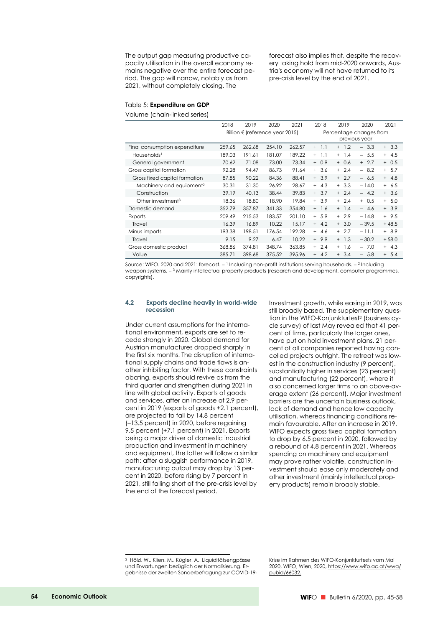The output gap measuring productive capacity utilisation in the overall economy remains negative over the entire forecast period. The gap will narrow, notably as from 2021, without completely closing. The

forecast also implies that, despite the recovery taking hold from mid-2020 onwards, Austria's economy will not have returned to its pre-crisis level by the end of 2021.

#### Table 5: **Expenditure on GDP**

Volume (chain-linked series)

|                                      | 2018   | 2019                                     | 2020   | 2021   | 2018                                     | 2019       | 2020         | 2021    |  |  |
|--------------------------------------|--------|------------------------------------------|--------|--------|------------------------------------------|------------|--------------|---------|--|--|
|                                      |        | Billion $\epsilon$ (reference year 2015) |        |        | Percentage changes from<br>previous year |            |              |         |  |  |
|                                      |        |                                          |        |        |                                          |            |              |         |  |  |
| Final consumption expenditure        | 259.65 | 262.68                                   | 254.10 | 262.57 | 1.1<br>$^{+}$                            | $+ 1.2$    | 3.3<br>$ \,$ | $+3.3$  |  |  |
| Households <sup>1</sup>              | 189.03 | 191.61                                   | 181.07 | 189.22 | 1.1<br>$^{+}$                            | $+$ 1.4    | $-5.5$       | $+ 4.5$ |  |  |
| General government                   | 70.62  | 71.08                                    | 73.00  | 73.34  | $+ 0.9$                                  | $+ 0.6$    | $+2.7$       | $+ 0.5$ |  |  |
| Gross capital formation              | 92.28  | 94.47                                    | 86.73  | 91.64  | 3.6<br>$+$                               | 2.4<br>$+$ | 8.2<br>$ \,$ | $+ 5.7$ |  |  |
| Gross fixed capital formation        | 87.85  | 90.22                                    | 84.36  | 88.41  | 3.9<br>$+$                               | $+2.7$     | $-6.5$       | $+ 4.8$ |  |  |
| Machinery and equipment <sup>2</sup> | 30.31  | 31.30                                    | 26.92  | 28.67  | 4.3<br>$+$                               | $+3.3$     | $-14.0$      | $+ 6.5$ |  |  |
| Construction                         | 39.19  | 40.13                                    | 38.44  | 39.83  | $+3.7$                                   | $+2.4$     | $-4.2$       | $+3.6$  |  |  |
| Other investment <sup>3</sup>        | 18.36  | 18.80                                    | 18.90  | 19.84  | $+3.9$                                   | $+2.4$     | $+ 0.5$      | $+ 5.0$ |  |  |
| Domestic demand                      | 352.79 | 357.87                                   | 341.33 | 354.80 | $+$ 1.6                                  | $+ 1.4$    | $-4.6$       | $+3.9$  |  |  |
| <b>Exports</b>                       | 209.49 | 215.53                                   | 183.57 | 201.10 | 5.9<br>$+$                               | $+2.9$     | $-14.8$      | $+9.5$  |  |  |
| Travel                               | 16.39  | 16.89                                    | 10.22  | 15.17  | $+ 4.2$                                  | $+3.0$     | $-39.5$      | $+48.5$ |  |  |
| Minus imports                        | 193.38 | 198.51                                   | 176.54 | 192.28 | 4.6<br>$+$                               | $+2.7$     | $-11.1$      | $+8.9$  |  |  |
| Travel                               | 9.15   | 9.27                                     | 6.47   | 10.22  | $+9.9$                                   | $+ 1.3$    | $-30.2$      | $+58.0$ |  |  |
| Gross domestic product               | 368.86 | 374.81                                   | 348.74 | 363.85 | 2.4<br>$+$                               | 1.6<br>$+$ | $-7.0$       | $+ 4.3$ |  |  |
| Value                                | 385.71 | 398.68                                   | 375.52 | 395.96 | 4.2<br>$+$                               | 3.4<br>$+$ | $-5.8$       | $+ 5.4$ |  |  |

Source: WIFO. 2020 and 2021: forecast. - 1 Including non-profit institutions serving households. - 2 Including weapon systems.  $-3$  Mainly intellectual property products (research and development, computer programmes, copyrights).

#### **4.2 Exports decline heavily in world-wide recession**

Under current assumptions for the international environment, exports are set to recede strongly in 2020. Global demand for Austrian manufactures dropped sharply in the first six months. The disruption of international supply chains and trade flows is another inhibiting factor. With these constraints abating, exports should revive as from the third quarter and strengthen during 2021 in line with global activity. Exports of goods and services, after an increase of 2.9 percent in 2019 (exports of goods +2.1 percent), are projected to fall by 14.8 percent (13.5 percent) in 2020, before regaining 9.5 percent (+7.1 percent) in 2021. Exports being a major driver of domestic industrial production and investment in machinery and equipment, the latter will follow a similar path: after a sluggish performance in 2019, manufacturing output may drop by 13 percent in 2020, before rising by 7 percent in 2021, still falling short of the pre-crisis level by the end of the forecast period.

Investment growth, while easing in 2019, was still broadly based. The supplementary question in the WIFO-Konjunkturtest2 (business cycle survey) of last May revealed that 41 percent of firms, particularly the larger ones, have put on hold investment plans. 21 percent of all companies reported having cancelled projects outright. The retreat was lowest in the construction industry (9 percent), substantially higher in services (23 percent) and manufacturing (22 percent), where it also concerned larger firms to an above-average extent (26 percent). Major investment barriers are the uncertain business outlook, lack of demand and hence low capacity utilisation, whereas financing conditions remain favourable. After an increase in 2019, WIFO expects gross fixed capital formation to drop by 6.5 percent in 2020, followed by a rebound of 4.8 percent in 2021. Whereas spending on machinery and equipment may prove rather volatile, construction investment should ease only moderately and other investment (mainly intellectual property products) remain broadly stable.

-

<sup>2</sup> Hölzl, W., Klien, M., Kügler, A., Liquiditätsengpässe und Erwartungen bezüglich der Normalisierung. Ergebnisse der zweiten Sonderbefragung zur COVID-19-

Krise im Rahmen des WIFO-Konjunkturtests vom Mai 2020, WIFO, Wien, 2020, https://www.wifo.ac.at/wwa/ pubid/66032.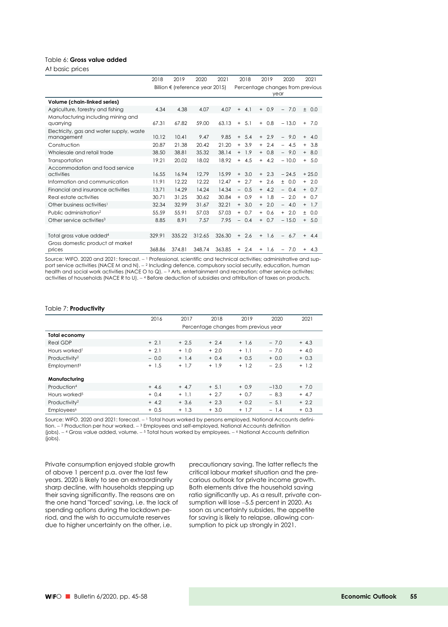### Table 6: **Gross value added**

At basic prices

|                                                        | 2018   | 2019   | 2020                                     | 2021   | 2018                            | 2019          | 2020                             | 2021       |
|--------------------------------------------------------|--------|--------|------------------------------------------|--------|---------------------------------|---------------|----------------------------------|------------|
|                                                        |        |        | Billion $\epsilon$ (reference year 2015) |        |                                 |               | Percentage changes from previous |            |
|                                                        |        |        |                                          |        |                                 |               | year                             |            |
| Volume (chain-linked series)                           |        |        |                                          |        |                                 |               |                                  |            |
| Agriculture, forestry and fishing                      | 4.34   | 4.38   | 4.07                                     | 4.07   | 4.1<br>$+$                      | 0.9<br>$+$    | $-7.0$                           | ± 0.0      |
| Manufacturing including mining and<br>quarrying        | 67.31  | 67.82  | 59.00                                    | 63.13  | 5.1<br>$+$                      | 0.8<br>$+$    | $-13.0$                          | $+ 7.0$    |
| Electricity, gas and water supply, waste<br>management | 10.12  | 10.41  | 9.47                                     | 9.85   | 5.4<br>$+$                      | 2.9<br>$+$    | 9.0<br>$\overline{\phantom{0}}$  | $+ 4.0$    |
| Construction                                           | 20.87  | 21.38  | 20.42                                    | 21.20  | 3.9<br>$+$                      | 2.4<br>$+$    | 4.5<br>$\equiv$                  | $+3.8$     |
| Wholesale and retail trade                             | 38.50  | 38.81  | 35.32                                    | 38.14  | 1.9<br>$+$                      | $+ 0.8$       | $-9.0$                           | $+8.0$     |
| Transportation                                         | 19.21  | 20.02  | 18.02                                    | 18.92  | $+ 4.5$                         | 4.2<br>$+$    | $-10.0$                          | $+ 5.0$    |
| Accommodation and food service<br>activities           | 16.55  | 16.94  | 12.79                                    | 15.99  | $+3.0$                          | 2.3<br>$+$    | $-24.5$                          | $+25.0$    |
| Information and communication                          | 11.91  | 12.22  | 12.22                                    | 12.47  | 2.7<br>$+$                      | 2.6<br>$+$    | ± 0.0                            | $+2.0$     |
| Financial and insurance activities                     | 13.71  | 14.29  | 14.24                                    | 14.34  | 0.5<br>$\overline{\phantom{a}}$ | 4.2<br>$+$    | $-0.4$                           | $+ 0.7$    |
| Real estate activities                                 | 30.71  | 31.25  | 30.62                                    | 30.84  | 0.9<br>$+$                      | 1.8<br>$+$    | 2.0<br>$\overline{\phantom{a}}$  | $+ 0.7$    |
| Other business activities <sup>1</sup>                 | 32.34  | 32.99  | 31.67                                    | 32.21  | $+3.0$                          | $+2.0$        | $-4.0$                           | $+ 1.7$    |
| Public administration <sup>2</sup>                     | 55.59  | 55.91  | 57.03                                    | 57.03  | 0.7<br>$+$                      | 0.6<br>$+$    | $+2.0$                           | ± 0.0      |
| Other service activities <sup>3</sup>                  | 8.85   | 8.91   | 7.57                                     | 7.95   | 0.4                             | 0.7<br>$+$    | $-15.0$                          | $+ 5.0$    |
|                                                        |        |        |                                          |        |                                 |               |                                  |            |
| Total gross value added <sup>4</sup>                   | 329.91 | 335.22 | 312.65                                   | 326.30 | $+2.6$                          | 1.6<br>$+$    | 6.7<br>-                         | $+ 4.4$    |
| Gross domestic product at market<br>prices             | 368.86 | 374.81 | 348.74                                   | 363.85 | 2.4<br>$+$                      | 1.6<br>$^{+}$ | 7.0<br>$\equiv$                  | 4.3<br>$+$ |

Source: WIFO. 2020 and 2021: forecast. 1 Professional, scientific and technical activities; administrative and support service activities (NACE M and N).  $-2$  Including defence, compulsory social security, education, human health and social work activities (NACE O to Q).  $-$  3 Arts, entertainment and recreation; other service activites; activities of households (NACE R to U). 4 Before deduction of subsidies and attribution of taxes on products.

#### Table 7: **Productivity**

| 2016                                  | 2017    | 2018    | 2019    | 2020    | 2021    |  |  |  |  |
|---------------------------------------|---------|---------|---------|---------|---------|--|--|--|--|
| Percentage changes from previous year |         |         |         |         |         |  |  |  |  |
|                                       |         |         |         |         |         |  |  |  |  |
| $+2.1$                                | $+2.5$  | $+2.4$  | $+ 1.6$ | $-7.0$  | $+4.3$  |  |  |  |  |
| $+2.1$                                | $+1.0$  | $+2.0$  | $+1.1$  | $-7.0$  | $+ 4.0$ |  |  |  |  |
| $-0.0$                                | $+ 1.4$ | $+ 0.4$ | $+ 0.5$ | $+ 0.0$ | $+ 0.3$ |  |  |  |  |
| $+ 1.5$                               | $+ 1.7$ | $+ 1.9$ | $+1.2$  | $-2.5$  | $+1.2$  |  |  |  |  |
|                                       |         |         |         |         |         |  |  |  |  |
|                                       |         |         |         |         |         |  |  |  |  |
| $+4.6$                                | $+ 4.7$ | $+ 5.1$ | $+0.9$  | $-13.0$ | $+ 7.0$ |  |  |  |  |
| $+ 0.4$                               | $+1.1$  | $+2.7$  | $+ 0.7$ | $-8.3$  | $+ 4.7$ |  |  |  |  |
| $+4.2$                                | $+3.6$  | $+2.3$  | $+ 0.2$ | $-5.1$  | $+2.2$  |  |  |  |  |
| $+0.5$                                | $+ 1.3$ | $+3.0$  | $+ 1.7$ | $-1.4$  | $+ 0.3$ |  |  |  |  |
|                                       |         |         |         |         |         |  |  |  |  |

Source: WIFO. 2020 and 2021: forecast.  $-1$  Total hours worked by persons employed, National Accounts definition.  $-$ <sup>2</sup> Production per hour worked.  $-$ <sup>3</sup> Employees and self-employed, National Accounts definition (jobs).  $-4$  Gross value added, volume.  $-5$  Total hours worked by employees.  $-6$  National Accounts definition (jobs).

Private consumption enjoyed stable growth of above 1 percent p.a. over the last few years. 2020 is likely to see an extraordinarily sharp decline, with households stepping up their saving significantly. The reasons are on the one hand "forced" saving, i.e. the lack of spending options during the lockdown period, and the wish to accumulate reserves due to higher uncertainty on the other, i.e.

precautionary saving. The latter reflects the critical labour market situation and the precarious outlook for private income growth. Both elements drive the household saving ratio significantly up. As a result, private consumption will lose -5.5 percent in 2020. As soon as uncertainty subsides, the appetite for saving is likely to relapse, allowing consumption to pick up strongly in 2021.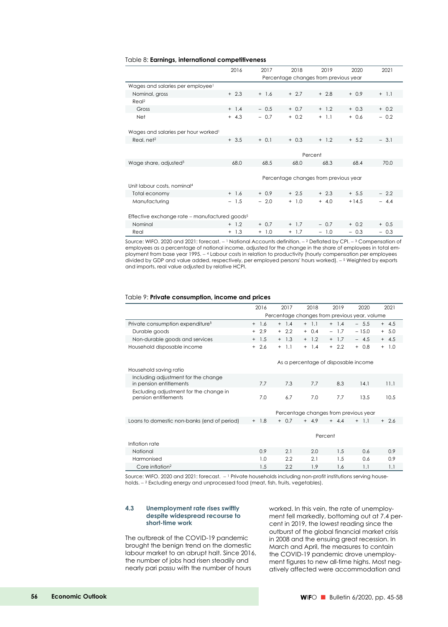#### Table 8: **Earnings, international competitiveness**

|                                                           | 2016    | 2017    | 2018    | 2019                                  | 2020    | 2021    |  |  |  |
|-----------------------------------------------------------|---------|---------|---------|---------------------------------------|---------|---------|--|--|--|
|                                                           |         |         |         | Percentage changes from previous year |         |         |  |  |  |
| Wages and salaries per employee <sup>1</sup>              |         |         |         |                                       |         |         |  |  |  |
| Nominal, gross                                            | $+2.3$  | $+ 1.6$ | $+2.7$  | $+2.8$                                | $+ 0.9$ | $+ 1.1$ |  |  |  |
| Real <sup>2</sup>                                         |         |         |         |                                       |         |         |  |  |  |
| Gross                                                     | $+ 1.4$ | $-0.5$  | $+ 0.7$ | $+ 1.2$                               | $+ 0.3$ | $+ 0.2$ |  |  |  |
| Net                                                       | $+ 4.3$ | $-0.7$  | $+ 0.2$ | $+ 1.1$                               | $+ 0.6$ | $-0.2$  |  |  |  |
|                                                           |         |         |         |                                       |         |         |  |  |  |
| Wages and salaries per hour worked <sup>1</sup>           |         |         |         |                                       |         |         |  |  |  |
| Real, net <sup>2</sup>                                    | $+3.5$  | $+ 0.1$ | $+ 0.3$ | $+ 1.2$                               | $+ 5.2$ | $-3.1$  |  |  |  |
|                                                           |         |         |         |                                       |         |         |  |  |  |
|                                                           |         |         |         | Percent                               |         |         |  |  |  |
| Wage share, adjusted <sup>3</sup>                         | 68.0    | 68.5    | 68.0    | 68.3                                  | 68.4    | 70.0    |  |  |  |
|                                                           |         |         |         |                                       |         |         |  |  |  |
|                                                           |         |         |         | Percentage changes from previous year |         |         |  |  |  |
| Unit labour costs, nominal <sup>4</sup>                   |         |         |         |                                       |         |         |  |  |  |
| Total economy                                             | $+ 1.6$ | $+ 0.9$ | $+2.5$  | $+2.3$                                | $+ 5.5$ | $-2.2$  |  |  |  |
| Manufacturing                                             | $-1.5$  | $-2.0$  | $+ 1.0$ | $+ 4.0$                               | $+14.5$ | $-4.4$  |  |  |  |
|                                                           |         |         |         |                                       |         |         |  |  |  |
| Effective exchange rate - manufactured goods <sup>5</sup> |         |         |         |                                       |         |         |  |  |  |
| Nominal                                                   | $+ 1.2$ | $+ 0.7$ | $+ 1.7$ | $-0.7$                                | $+ 0.2$ | $+ 0.5$ |  |  |  |
| Real                                                      | $+ 1.3$ | $+ 1.0$ | $+ 1.7$ | $-1.0$                                | $-0.3$  | $-0.3$  |  |  |  |

Source: WIFO. 2020 and 2021: forecast.  $-1$  National Accounts definition.  $-2$  Deflated by CPI.  $-3$  Compensation of employees as a percentage of national income, adjusted for the change in the share of employees in total employment from base year 1995. 4 Labour costs in relation to productivity (hourly compensation per employees divided by GDP and value added, respectively, per employed persons' hours worked).  $-5$  Weighted by exports and imports, real value adjusted by relative HCPI.

#### Table 9: **Private consumption, income and prices**

|                                                                | 2016    | 2017          | 2018                                          | 2019    | 2020    | 2021       |  |  |
|----------------------------------------------------------------|---------|---------------|-----------------------------------------------|---------|---------|------------|--|--|
|                                                                |         |               | Percentage changes from previous year, volume |         |         |            |  |  |
| Private consumption expenditure <sup>1</sup>                   | $+$ 1.6 | $+ 1.4$       | $+ 1.1$                                       | $+ 1.4$ | $-5.5$  | $+ 4.5$    |  |  |
| Durable goods                                                  | $+2.9$  | $+2.2$        | $+ 0.4$                                       | $-1.7$  | $-15.0$ | $+ 5.0$    |  |  |
| Non-durable goods and services                                 | $+ 1.5$ | $+ 1.3$       | $+ 1.2$                                       | $+ 1.7$ | $-4.5$  | $+ 4.5$    |  |  |
| Household disposable income                                    | $+2.6$  | 1.1<br>$^{+}$ | $+$ 1.4                                       | $+2.2$  | $+0.8$  | $+$<br>1.0 |  |  |
|                                                                |         |               | As a percentage of disposable income          |         |         |            |  |  |
| Household saving ratio                                         |         |               |                                               |         |         |            |  |  |
| Including adjustment for the change<br>in pension entitlements | 7.7     | 7.3           | 7.7                                           | 8.3     | 14.1    | 11.1       |  |  |
| Excluding adjustment for the change in<br>pension entitlements | 7.0     | 6.7           | 7.0                                           | 7.7     | 13.5    | 10.5       |  |  |
|                                                                |         |               | Percentage changes from previous year         |         |         |            |  |  |
| Loans to domestic non-banks (end of period)                    | $+ 1.8$ | $+ 0.7$       | $+ 4.9$                                       | $+44$   | $+ 11$  | $+2.6$     |  |  |
|                                                                | Percent |               |                                               |         |         |            |  |  |
| Inflation rate                                                 |         |               |                                               |         |         |            |  |  |
| National                                                       | 0.9     | 2.1           | 2.0                                           | 1.5     | 0.6     | 0.9        |  |  |
| Harmonised                                                     | 1.0     | 2.2           | 2.1                                           | 1.5     | 0.6     | 0.9        |  |  |
| Core inflation <sup>2</sup>                                    | 1.5     | 2.2           | 1.9                                           | 1.6     | 1.1     | 1.1        |  |  |

Source: WIFO. 2020 and 2021: forecast.  $-1$  Private households including non-profit institutions serving households. - <sup>2</sup> Excluding energy and unprocessed food (meat, fish, fruits, vegetables).

#### **4.3 Unemployment rate rises swiftly despite widespread recourse to short-time work**

The outbreak of the COVID-19 pandemic brought the benign trend on the domestic labour market to an abrupt halt. Since 2016, the number of jobs had risen steadily and nearly pari passu with the number of hours

worked. In this vein, the rate of unemployment fell markedly, bottoming out at 7.4 percent in 2019, the lowest reading since the outburst of the global financial market crisis in 2008 and the ensuing great recession. In March and April, the measures to contain the COVID-19 pandemic drove unemployment figures to new all-time highs. Most negatively affected were accommodation and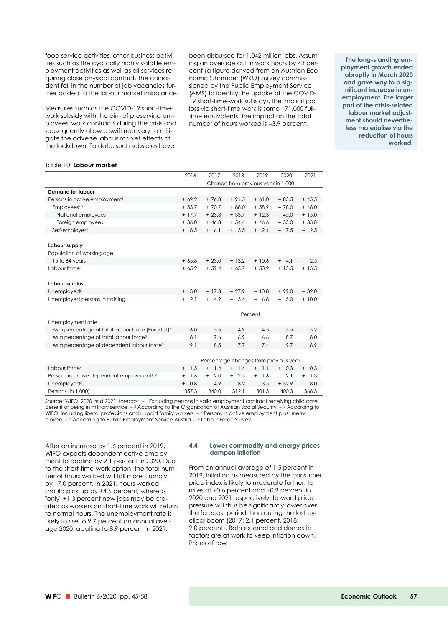food service activities, other business activities such as the cyclically highly volatile employment activities as well as all services requiring close physical contact. The coincident fall in the number of job vacancies further added to the labour market imbalance.

Measures such as the COVID-19 short-timework subsidy with the aim of preserving employees' work contracts during the crisis and subsequently allow a swift recovery to mitigate the adverse labour market effects of the lockdown. To date, such subsidies have

been disbursed for 1.042 million jobs. Assuming an average cut in work hours by 43 percent (a figure derived from an Austrian Economic Chamber (WKO) survey commissioned by the Public Employment Service (AMS) to identify the uptake of the COVID-19 short-time-work subsidy), the implicit job loss via short-time work is some 171,000 fulltime equivalents; the impact on the total number of hours worked is -3.9 percent.

**The long-standing employment growth ended abruptly in March 2020 and gave way to a significant increase in unemployment. The larger part of the crisis-related labour market adjustment should nevertheless materialise via the reduction of hours worked.** 

#### Table 10: **Labour market**

|                                                               | 2016             | 2017       | 2018                                  | 2019                            | 2020                            | 2021                            |
|---------------------------------------------------------------|------------------|------------|---------------------------------------|---------------------------------|---------------------------------|---------------------------------|
|                                                               |                  |            | Change from previous year in 1,000    |                                 |                                 |                                 |
| <b>Demand for labour</b>                                      |                  |            |                                       |                                 |                                 |                                 |
| Persons in active employment <sup>1</sup>                     | $+62.2$          | $+76.8$    | $+91.5$                               | $+61.0$                         | $-85.5$                         | $+45.5$                         |
| Employees <sup>1,2</sup>                                      | $+ 53.7$         | $+70.7$    | $+88.0$                               | $+58.9$                         | $-78.0$                         | $+48.0$                         |
| National employees                                            | $+17.7$          | $+23.8$    | $+33.7$                               | $+12.3$                         | $-45.0$                         | $+15.0$                         |
| Foreign employees                                             | $+36.0$          | $+46.8$    | $+ 54.4$                              | $+46.6$                         | $-33.0$                         | $+33.0$                         |
| Self-employed <sup>3</sup>                                    | $+8.5$           | $+ 6.1$    | $+3.5$                                | $+ 2.1$                         | $-7.5$                          | $-2.5$                          |
|                                                               |                  |            |                                       |                                 |                                 |                                 |
| Labour supply                                                 |                  |            |                                       |                                 |                                 |                                 |
| Population of working age                                     |                  |            |                                       |                                 |                                 |                                 |
| 15 to 64 years                                                | $+65.8$          | $+23.0$    | $+13.2$                               | $+10.6$                         | $+ 4.1$                         | $-2.5$                          |
| Labour force <sup>4</sup>                                     | $+65.2$          | $+ 59.4$   | $+63.7$                               | $+50.2$                         | $+13.5$                         | $+13.5$                         |
|                                                               |                  |            |                                       |                                 |                                 |                                 |
| Labour surplus                                                |                  |            |                                       |                                 |                                 |                                 |
| Unemployed <sup>5</sup>                                       | 3.0<br>$+$       | $-17.3$    | $-27.9$                               | $-10.8$                         | $+99.0$                         | $-32.0$                         |
| Unemployed persons in training                                | 2.1<br>$+$       | $+ 4.9$    | $-3.4$                                | 6.8<br>$\overline{\phantom{0}}$ | 5.0<br>$\overline{\phantom{0}}$ | $+10.0$                         |
|                                                               |                  |            |                                       |                                 |                                 |                                 |
|                                                               |                  |            |                                       | Percent                         |                                 |                                 |
| Unemployment rate                                             |                  |            |                                       |                                 |                                 |                                 |
| As a percentage of total labour force (Eurostat) <sup>6</sup> | 6.0              | 5.5        | 4.9                                   | 4.5                             | 5.5                             | 5.2                             |
| As a percentage of total labour force <sup>5</sup>            | 8.1              | 7.6        | 6.9                                   | 6.6                             | 8.7                             | 8.0                             |
| As a percentage of dependent labour force <sup>5</sup>        | 9.1              | 8.5        | 7.7                                   | 7.4                             | 9.7                             | 8.9                             |
|                                                               |                  |            |                                       |                                 |                                 |                                 |
|                                                               |                  |            | Percentage changes from previous year |                                 |                                 |                                 |
| Labour force <sup>4</sup>                                     | $+$ 1.5          | 1.4<br>$+$ | 1.4<br>$^{+}$                         | 1.1<br>$+$                      | 0.3<br>$+$                      | 0.3<br>$+$                      |
| Persons in active dependent employment <sup>1, 2</sup>        | 1.6<br>$\ddot{}$ | 2.0<br>$+$ | 2.5<br>$+$                            | 1.6<br>$^{+}$                   | 2.1<br>$\equiv$                 | 1.3<br>$\ddot{}$                |
| Unemployed <sup>5</sup>                                       | 0.8<br>$^{+}$    | 4.9        | 8.2<br>$\overline{\phantom{0}}$       | 3.5<br>$\overline{\phantom{0}}$ | $+32.9$                         | 8.0<br>$\overline{\phantom{0}}$ |

Source: WIFO. 2020 and 2021: forecast. - <sup>1</sup> Excluding persons in valid employment contract receiving child care benefit or being in military service.  $-2$  According to the Organisation of Austrian Social Security.  $-3$  According to WIFO, including liberal professions and unpaid family workers.  $-$  4 Persons in active employment plus unemployed. - <sup>5</sup> According to Public Employment Service Austria. - <sup>6</sup> Labour Force Survey.

Persons (in 1,000) 268.3 357.3 340.0 312.1 301.3 400.3 368.3

After an increase by 1.6 percent in 2019, WIFO expects dependent active employment to decline by 2.1 percent in 2020. Due to the short-time-work option, the total number of hours worked will fall more strongly, by -7.0 percent. In 2021, hours worked should pick up by +4.6 percent, whereas "only" +1.3 percent new jobs may be created as workers on short-time work will return to normal hours. The unemployment rate is likely to rise to 9.7 percent on annual average 2020, abating to 8.9 percent in 2021.

#### **4.4 Lower commodity and energy prices dampen inflation**

From an annual average of 1.5 percent in 2019, inflation as measured by the consumer price index is likely to moderate further, to rates of +0.6 percent and +0.9 percent in 2020 and 2021 respectively. Upward price pressure will thus be significantly lower over the forecast period than during the last cyclical boom (2017: 2.1 percent, 2018: 2.0 percent). Both external and domestic factors are at work to keep inflation down. Prices of raw